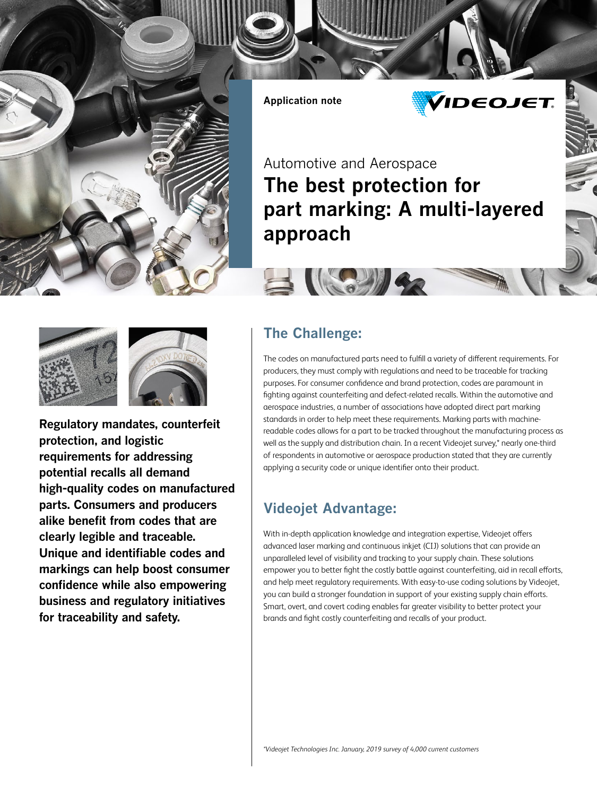

**Application note**



Automotive and Aerospace **The best protection for part marking: A multi-layered approach**





**Regulatory mandates, counterfeit protection, and logistic requirements for addressing potential recalls all demand high-quality codes on manufactured parts. Consumers and producers alike benefit from codes that are clearly legible and traceable. Unique and identifiable codes and markings can help boost consumer confidence while also empowering business and regulatory initiatives for traceability and safety.**

#### **The Challenge:**

ISA

The codes on manufactured parts need to fulfill a variety of different requirements. For producers, they must comply with regulations and need to be traceable for tracking purposes. For consumer confidence and brand protection, codes are paramount in fighting against counterfeiting and defect-related recalls. Within the automotive and aerospace industries, a number of associations have adopted direct part marking standards in order to help meet these requirements. Marking parts with machinereadable codes allows for a part to be tracked throughout the manufacturing process as well as the supply and distribution chain. In a recent Videojet survey,\* nearly one-third of respondents in automotive or aerospace production stated that they are currently applying a security code or unique identifier onto their product.

#### **Videojet Advantage:**

With in-depth application knowledge and integration expertise, Videojet offers advanced laser marking and continuous inkjet (CIJ) solutions that can provide an unparalleled level of visibility and tracking to your supply chain. These solutions empower you to better fight the costly battle against counterfeiting, aid in recall efforts, and help meet regulatory requirements. With easy-to-use coding solutions by Videojet, you can build a stronger foundation in support of your existing supply chain efforts. Smart, overt, and covert coding enables far greater visibility to better protect your brands and fight costly counterfeiting and recalls of your product.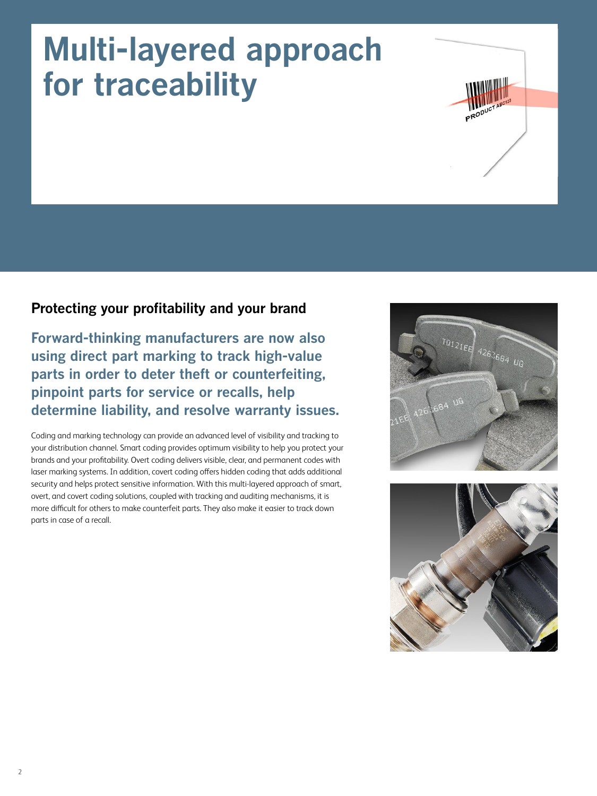## **Multi-layered approach for traceability**

#### **Protecting your profitability and your brand**

**Forward-thinking manufacturers are now also using direct part marking to track high-value parts in order to deter theft or counterfeiting, pinpoint parts for service or recalls, help determine liability, and resolve warranty issues.**

Coding and marking technology can provide an advanced level of visibility and tracking to your distribution channel. Smart coding provides optimum visibility to help you protect your brands and your profitability. Overt coding delivers visible, clear, and permanent codes with laser marking systems. In addition, covert coding offers hidden coding that adds additional security and helps protect sensitive information. With this multi-layered approach of smart, overt, and covert coding solutions, coupled with tracking and auditing mechanisms, it is more difficult for others to make counterfeit parts. They also make it easier to track down parts in case of a recall.



PRODU

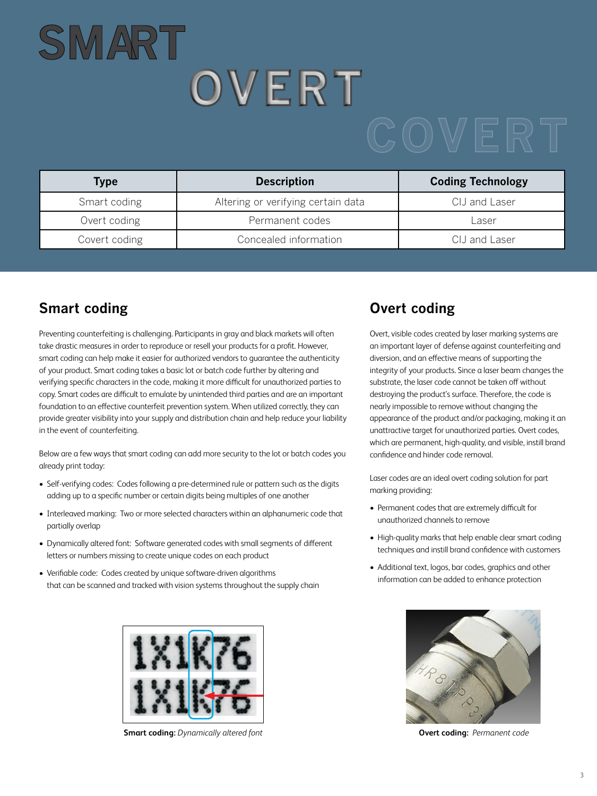# **SMAR T OVERT**

| Type          | <b>Description</b>                 | <b>Coding Technology</b> |
|---------------|------------------------------------|--------------------------|
| Smart coding  | Altering or verifying certain data | CIJ and Laser            |
| Overt coding  | Permanent codes                    | Laser                    |
| Covert coding | Concealed information              | CIJ and Laser            |

#### **Smart coding**

Preventing counterfeiting is challenging. Participants in gray and black markets will often take drastic measures in order to reproduce or resell your products for a profit. However, smart coding can help make it easier for authorized vendors to guarantee the authenticity of your product. Smart coding takes a basic lot or batch code further by altering and verifying specific characters in the code, making it more difficult for unauthorized parties to copy. Smart codes are difficult to emulate by unintended third parties and are an important foundation to an effective counterfeit prevention system. When utilized correctly, they can provide greater visibility into your supply and distribution chain and help reduce your liability in the event of counterfeiting.

Below are a few ways that smart coding can add more security to the lot or batch codes you already print today:

- Self-verifying codes: Codes following a pre-determined rule or pattern such as the digits adding up to a specific number or certain digits being multiples of one another
- Interleaved marking: Two or more selected characters within an alphanumeric code that partially overlap
- Dynamically altered font: Software generated codes with small segments of different letters or numbers missing to create unique codes on each product
- Verifiable code: Codes created by unique software-driven algorithms that can be scanned and tracked with vision systems throughout the supply chain



**Smart coding:** *Dynamically altered font* **Overt coding:** *Permanent code*

#### **Overt coding**

Overt, visible codes created by laser marking systems are an important layer of defense against counterfeiting and diversion, and an effective means of supporting the integrity of your products. Since a laser beam changes the substrate, the laser code cannot be taken off without destroying the product's surface. Therefore, the code is nearly impossible to remove without changing the appearance of the product and/or packaging, making it an unattractive target for unauthorized parties. Overt codes, which are permanent, high-quality, and visible, instill brand confidence and hinder code removal.

Laser codes are an ideal overt coding solution for part marking providing:

- Permanent codes that are extremely difficult for unauthorized channels to remove
- High-quality marks that help enable clear smart coding techniques and instill brand confidence with customers
- Additional text, logos, bar codes, graphics and other information can be added to enhance protection